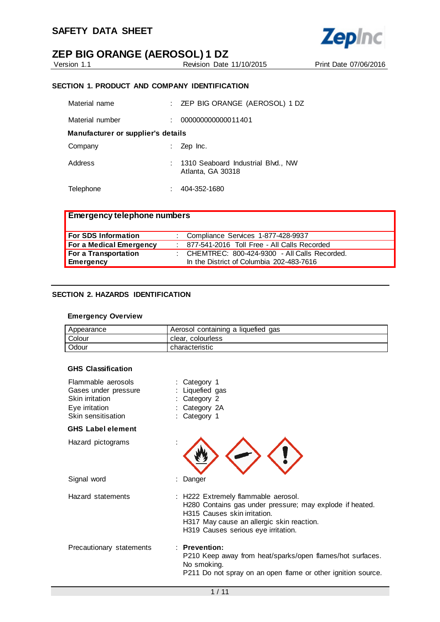

Revision Date 11/10/2015 Print Date 07/06/2016

**Zepinc** 

#### **SECTION 1. PRODUCT AND COMPANY IDENTIFICATION**

| Material name                      | $\pm$ ZEP BIG ORANGE (AEROSOL) 1 DZ                     |
|------------------------------------|---------------------------------------------------------|
| Material number                    | 000000000000011401                                      |
| Manufacturer or supplier's details |                                                         |
| Company                            | Zep Inc.                                                |
| Address                            | 1310 Seaboard Industrial Blvd., NW<br>Atlanta, GA 30318 |
| Telephone                          | 404-352-1680                                            |

| <b>Emergency telephone numbers</b> |                                                  |
|------------------------------------|--------------------------------------------------|
| For SDS Information                | : Compliance Services 1-877-428-9937             |
| For a Medical Emergency            | : 877-541-2016 Toll Free - All Calls Recorded    |
| For a Transportation               | : CHEMTREC: $800-424-9300$ - All Calls Recorded. |
| Emergency                          | In the District of Columbia 202-483-7616         |

### **SECTION 2. HAZARDS IDENTIFICATION**

#### **Emergency Overview**

| Appearance | Aerosol containing a liquefied gas |
|------------|------------------------------------|
| Colour     | clear, colourless                  |
| Odour      | characteristic                     |

#### **GHS Classification**

| Flammable aerosols<br>Gases under pressure<br>Skin irritation<br>Eye irritation<br>Skin sensitisation | : Category 1<br>Liquefied gas<br>Category 2<br>Category 2A<br>Category 1                                                                                                                                            |
|-------------------------------------------------------------------------------------------------------|---------------------------------------------------------------------------------------------------------------------------------------------------------------------------------------------------------------------|
| <b>GHS Label element</b>                                                                              |                                                                                                                                                                                                                     |
| Hazard pictograms                                                                                     |                                                                                                                                                                                                                     |
| Signal word                                                                                           | : Danger                                                                                                                                                                                                            |
| Hazard statements                                                                                     | : H222 Extremely flammable aerosol.<br>H280 Contains gas under pressure; may explode if heated.<br>H315 Causes skin irritation.<br>H317 May cause an allergic skin reaction.<br>H319 Causes serious eye irritation. |
| Precautionary statements                                                                              | $:$ Prevention:<br>P210 Keep away from heat/sparks/open flames/hot surfaces.<br>No smoking.<br>P211 Do not spray on an open flame or other ignition source.                                                         |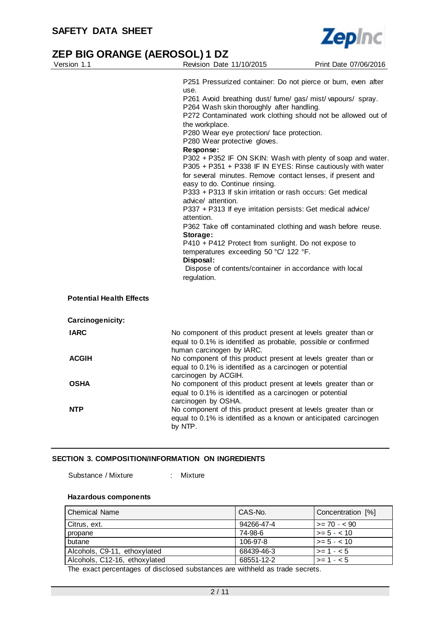

| Version 1.1                     | Revision Date 11/10/2015                                                                                                                                                                                                                                                                                                                                                                                                                                                                                                                                  | Print Date 07/06/2016 |
|---------------------------------|-----------------------------------------------------------------------------------------------------------------------------------------------------------------------------------------------------------------------------------------------------------------------------------------------------------------------------------------------------------------------------------------------------------------------------------------------------------------------------------------------------------------------------------------------------------|-----------------------|
|                                 | P251 Pressurized container: Do not pierce or burn, even after<br>use.<br>P261 Avoid breathing dust/ fume/ gas/ mist/ vapours/ spray.<br>P264 Wash skin thoroughly after handling.<br>P272 Contaminated work clothing should not be allowed out of<br>the workplace.<br>P280 Wear eye protection/ face protection.<br>P280 Wear protective gloves.<br>Response:<br>P302 + P352 IF ON SKIN: Wash with plenty of soap and water.<br>P305 + P351 + P338 IF IN EYES: Rinse cautiously with water<br>for several minutes. Remove contact lenses, if present and |                       |
|                                 | easy to do. Continue rinsing.<br>P333 + P313 If skin irritation or rash occurs: Get medical<br>advice/ attention.<br>P337 + P313 If eye irritation persists: Get medical advice/                                                                                                                                                                                                                                                                                                                                                                          |                       |
|                                 | attention.<br>P362 Take off contaminated clothing and wash before reuse.<br>Storage:<br>P410 + P412 Protect from sunlight. Do not expose to<br>temperatures exceeding 50 °C/ 122 °F.<br>Disposal:<br>Dispose of contents/container in accordance with local<br>regulation.                                                                                                                                                                                                                                                                                |                       |
| <b>Potential Health Effects</b> |                                                                                                                                                                                                                                                                                                                                                                                                                                                                                                                                                           |                       |
| Carcinogenicity:                |                                                                                                                                                                                                                                                                                                                                                                                                                                                                                                                                                           |                       |
| <b>IARC</b>                     | No component of this product present at levels greater than or<br>equal to 0.1% is identified as probable, possible or confirmed<br>human carcinogen by IARC.                                                                                                                                                                                                                                                                                                                                                                                             |                       |
| <b>ACGIH</b>                    | No component of this product present at levels greater than or<br>equal to 0.1% is identified as a carcinogen or potential<br>carcinogen by ACGIH.                                                                                                                                                                                                                                                                                                                                                                                                        |                       |
| <b>OSHA</b>                     | No component of this product present at levels greater than or<br>equal to 0.1% is identified as a carcinogen or potential                                                                                                                                                                                                                                                                                                                                                                                                                                |                       |
| <b>NTP</b>                      | carcinogen by OSHA.<br>No component of this product present at levels greater than or<br>equal to 0.1% is identified as a known or anticipated carcinogen<br>by NTP.                                                                                                                                                                                                                                                                                                                                                                                      |                       |

#### **SECTION 3. COMPOSITION/INFORMATION ON INGREDIENTS**

Substance / Mixture : Mixture

# **Hazardous components**

| Chemical Name                 | CAS-No.    | Concentration [%] |
|-------------------------------|------------|-------------------|
| Citrus, ext.                  | 94266-47-4 | $>= 70 - 590$     |
| propane                       | 74-98-6    | $>= 5 - < 10$     |
| butane                        | 106-97-8   | $>= 5 - < 10$     |
| Alcohols, C9-11, ethoxylated  | 68439-46-3 | $>= 1 - 5$        |
| Alcohols, C12-16, ethoxylated | 68551-12-2 | $>= 1 - 5$        |

The exact percentages of disclosed substances are withheld as trade secrets.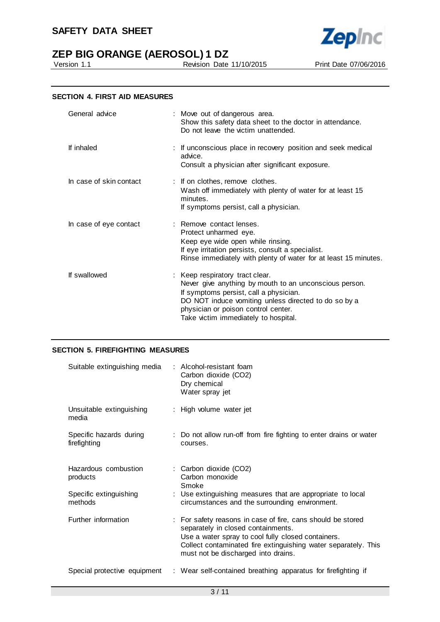



Revision Date 11/10/2015 Print Date 07/06/2016

#### **SECTION 4. FIRST AID MEASURES**

| General advice          | : Move out of dangerous area.<br>Show this safety data sheet to the doctor in attendance.<br>Do not leave the victim unattended.                                                                                                                                           |
|-------------------------|----------------------------------------------------------------------------------------------------------------------------------------------------------------------------------------------------------------------------------------------------------------------------|
| If inhaled              | : If unconscious place in recovery position and seek medical<br>advice.<br>Consult a physician after significant exposure.                                                                                                                                                 |
| In case of skin contact | : If on clothes, remove clothes.<br>Wash off immediately with plenty of water for at least 15<br>minutes.<br>If symptoms persist, call a physician.                                                                                                                        |
| In case of eye contact  | : Remove contact lenses.<br>Protect unharmed eye.<br>Keep eye wide open while rinsing.<br>If eye irritation persists, consult a specialist.<br>Rinse immediately with plenty of water for at least 15 minutes.                                                             |
| If swallowed            | : Keep respiratory tract clear.<br>Never give anything by mouth to an unconscious person.<br>If symptoms persist, call a physician.<br>DO NOT induce vomiting unless directed to do so by a<br>physician or poison control center.<br>Take victim immediately to hospital. |

#### **SECTION 5. FIREFIGHTING MEASURES**

| Suitable extinguishing media            | : Alcohol-resistant foam<br>Carbon dioxide (CO2)<br>Dry chemical<br>Water spray jet                                                                                                                                                                              |
|-----------------------------------------|------------------------------------------------------------------------------------------------------------------------------------------------------------------------------------------------------------------------------------------------------------------|
| Unsuitable extinguishing<br>media       | : High volume water jet                                                                                                                                                                                                                                          |
| Specific hazards during<br>firefighting | : Do not allow run-off from fire fighting to enter drains or water<br>courses.                                                                                                                                                                                   |
| Hazardous combustion<br>products        | : Carbon dioxide (CO2)<br>Carbon monoxide<br>Smoke                                                                                                                                                                                                               |
| Specific extinguishing<br>methods       | : Use extinguishing measures that are appropriate to local<br>circumstances and the surrounding environment.                                                                                                                                                     |
| Further information                     | : For safety reasons in case of fire, cans should be stored<br>separately in closed containments.<br>Use a water spray to cool fully closed containers.<br>Collect contaminated fire extinguishing water separately. This<br>must not be discharged into drains. |
| Special protective equipment            | : Wear self-contained breathing apparatus for firefighting if                                                                                                                                                                                                    |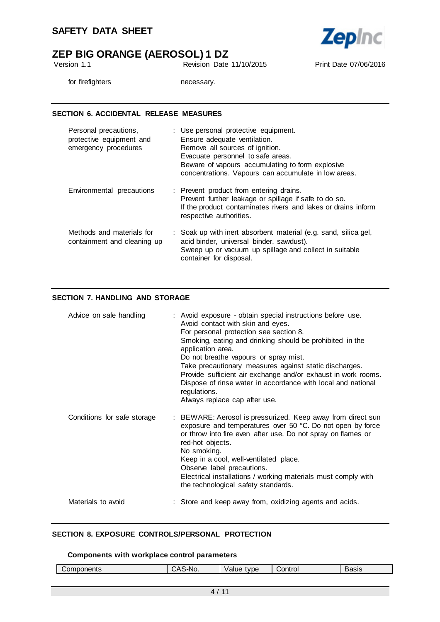

Version 1.1 Revision Date 11/10/2015 Print Date 07/06/2016

for firefighters necessary.

#### **SECTION 6. ACCIDENTAL RELEASE MEASURES**

| Personal precautions,<br>protective equipment and<br>emergency procedures | : Use personal protective equipment.<br>Ensure adequate ventilation.<br>Remove all sources of ignition.<br>Evacuate personnel to safe areas.<br>Beware of vapours accumulating to form explosive<br>concentrations. Vapours can accumulate in low areas. |
|---------------------------------------------------------------------------|----------------------------------------------------------------------------------------------------------------------------------------------------------------------------------------------------------------------------------------------------------|
| Environmental precautions                                                 | : Prevent product from entering drains.<br>Prevent further leakage or spillage if safe to do so.<br>If the product contaminates rivers and lakes or drains inform<br>respective authorities.                                                             |
| Methods and materials for<br>containment and cleaning up                  | : Soak up with inert absorbent material (e.g. sand, silica gel,<br>acid binder, universal binder, sawdust).<br>Sweep up or vacuum up spillage and collect in suitable<br>container for disposal.                                                         |

### **SECTION 7. HANDLING AND STORAGE**

| Advice on safe handling     | : Avoid exposure - obtain special instructions before use.<br>Avoid contact with skin and eyes.<br>For personal protection see section 8.<br>Smoking, eating and drinking should be prohibited in the<br>application area.<br>Do not breathe vapours or spray mist.<br>Take precautionary measures against static discharges.<br>Provide sufficient air exchange and/or exhaust in work rooms.<br>Dispose of rinse water in accordance with local and national<br>regulations.<br>Always replace cap after use. |
|-----------------------------|-----------------------------------------------------------------------------------------------------------------------------------------------------------------------------------------------------------------------------------------------------------------------------------------------------------------------------------------------------------------------------------------------------------------------------------------------------------------------------------------------------------------|
| Conditions for safe storage | : BEWARE: Aerosol is pressurized. Keep away from direct sun<br>exposure and temperatures over 50 °C. Do not open by force<br>or throw into fire even after use. Do not spray on flames or<br>red-hot objects.<br>No smoking.<br>Keep in a cool, well-ventilated place.<br>Observe label precautions.<br>Electrical installations / working materials must comply with<br>the technological safety standards.                                                                                                    |
| Materials to avoid          | : Store and keep away from, oxidizing agents and acids.                                                                                                                                                                                                                                                                                                                                                                                                                                                         |

### **SECTION 8. EXPOSURE CONTROLS/PERSONAL PROTECTION**

#### **Components with workplace control parameters**

| `omnonents<br>nei<br>ב וו | N<br>. | tvne<br>$V \sim 11$ | 'ontrol | วงเจ |
|---------------------------|--------|---------------------|---------|------|
|                           |        |                     |         |      |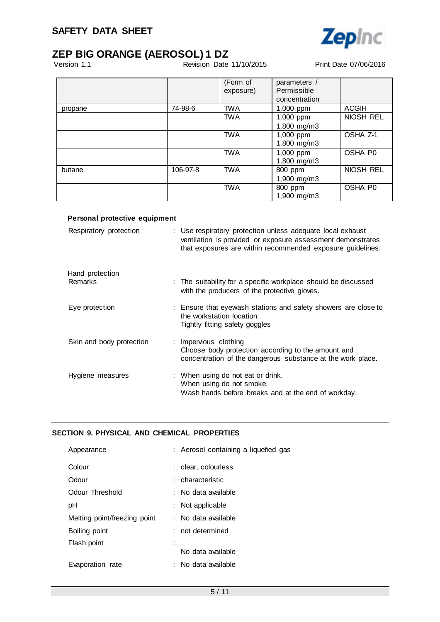

# **ZEP BIG ORANGE (AEROSOL) 1 DZ**<br>Version 1.1 Revision Date

Revision Date 11/10/2015 Print Date 07/06/2016

|         |          | (Form of<br>exposure) | parameters /<br>Permissible |              |
|---------|----------|-----------------------|-----------------------------|--------------|
|         |          |                       | concentration               |              |
| propane | 74-98-6  | <b>TWA</b>            | 1,000 ppm                   | <b>ACGIH</b> |
|         |          | <b>TWA</b>            | 1,000 ppm                   | NIOSH REL    |
|         |          |                       | 1,800 mg/m3                 |              |
|         |          | <b>TWA</b>            | 1,000 ppm                   | OSHA Z-1     |
|         |          |                       | 1,800 mg/m3                 |              |
|         |          | <b>TWA</b>            | 1,000 ppm                   | OSHA P0      |
|         |          |                       | 1,800 mg/m3                 |              |
| butane  | 106-97-8 | <b>TWA</b>            | 800 ppm                     | NIOSH REL    |
|         |          |                       | 1,900 mg/m3                 |              |
|         |          | <b>TWA</b>            | 800 ppm<br>1,900 mg/m3      | OSHA P0      |

#### **Personal protective equipment**

| Respiratory protection     | : Use respiratory protection unless adequate local exhaust<br>ventilation is provided or exposure assessment demonstrates<br>that exposures are within recommended exposure guidelines. |
|----------------------------|-----------------------------------------------------------------------------------------------------------------------------------------------------------------------------------------|
| Hand protection<br>Remarks | : The suitability for a specific workplace should be discussed<br>with the producers of the protective gloves.                                                                          |
| Eye protection             | : Ensure that eyewash stations and safety showers are close to<br>the workstation location.<br>Tightly fitting safety goggles                                                           |
| Skin and body protection   | : Impervious clothing<br>Choose body protection according to the amount and<br>concentration of the dangerous substance at the work place.                                              |
| Hygiene measures           | : When using do not eat or drink.<br>When using do not smoke.<br>Wash hands before breaks and at the end of workday.                                                                    |

## **SECTION 9. PHYSICAL AND CHEMICAL PROPERTIES**

| Appearance                   | : Aerosol containing a liquefied gas |
|------------------------------|--------------------------------------|
| Colour                       | : clear, colourless                  |
| Odour                        | : characteristic                     |
| Odour Threshold              | : No data available                  |
| рH                           | : Not applicable                     |
| Melting point/freezing point | : No data available                  |
| Boiling point                | not determined                       |
| Flash point                  |                                      |
|                              | No data available                    |
| Evaporation rate             | No data available                    |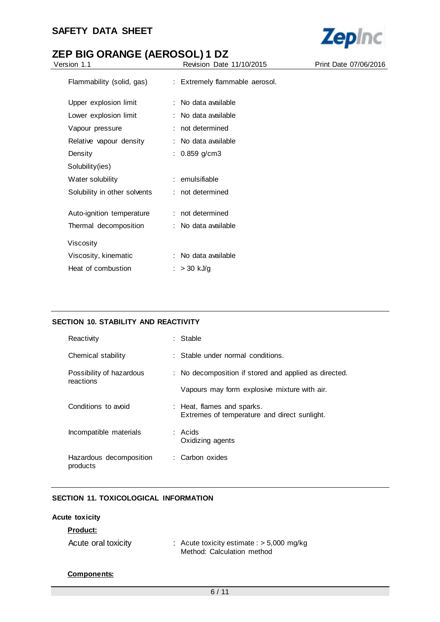

| Version 1.1                  | Revision Date 11/10/2015       | Print Date 07/06/2016 |
|------------------------------|--------------------------------|-----------------------|
| Flammability (solid, gas)    | : Extremely flammable aerosol. |                       |
| Upper explosion limit        | : No data available            |                       |
| Lower explosion limit        | : No data available            |                       |
| Vapour pressure              | : not determined               |                       |
| Relative vapour density      | : No data available            |                       |
| Density                      | : $0.859$ g/cm3                |                       |
| Solubility(ies)              |                                |                       |
| Water solubility             | : emulsifiable                 |                       |
| Solubility in other solvents | : not determined               |                       |
| Auto-ignition temperature    | : not determined               |                       |
| Thermal decomposition        | : No data available            |                       |
| Viscosity                    |                                |                       |
| Viscosity, kinematic         | : No data available            |                       |
| Heat of combustion           | : $> 30$ kJ/g                  |                       |
|                              |                                |                       |

### **SECTION 10. STABILITY AND REACTIVITY**

| Reactivity                            | : Stable                                                                   |
|---------------------------------------|----------------------------------------------------------------------------|
| Chemical stability                    | : Stable under normal conditions.                                          |
| Possibility of hazardous<br>reactions | : No decomposition if stored and applied as directed.                      |
|                                       | Vapours may form explosive mixture with air.                               |
| Conditions to avoid                   | : Heat, flames and sparks.<br>Extremes of temperature and direct sunlight. |
| Incompatible materials                | : Acids<br>Oxidizing agents                                                |
| Hazardous decomposition<br>products   | : Carbon oxides                                                            |

### **SECTION 11. TOXICOLOGICAL INFORMATION**

### **Acute toxicity**

| Product:            |                                                                           |
|---------------------|---------------------------------------------------------------------------|
| Acute oral toxicity | : Acute toxicity estimate : $>$ 5,000 mg/kg<br>Method: Calculation method |

#### **Components:**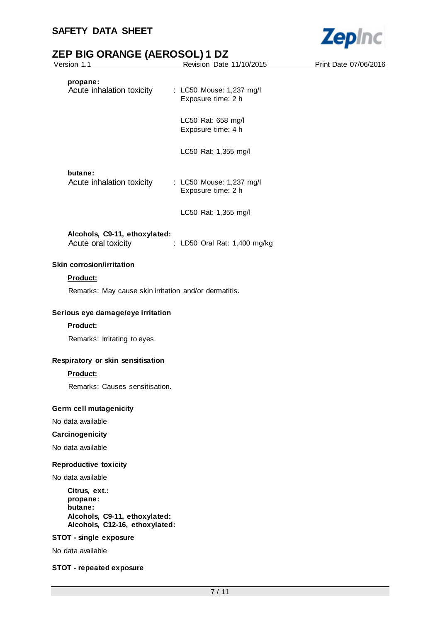

| Version 1.1                                                                                             | Revision Date 11/10/2015                       | Print Date 07/06/2016 |
|---------------------------------------------------------------------------------------------------------|------------------------------------------------|-----------------------|
| propane:<br>Acute inhalation toxicity                                                                   | : LC50 Mouse: 1,237 mg/l<br>Exposure time: 2 h |                       |
|                                                                                                         | LC50 Rat: 658 mg/l<br>Exposure time: 4 h       |                       |
|                                                                                                         | LC50 Rat: 1,355 mg/l                           |                       |
| butane:<br>Acute inhalation toxicity                                                                    | : LC50 Mouse: 1,237 mg/l<br>Exposure time: 2 h |                       |
|                                                                                                         | LC50 Rat: 1,355 mg/l                           |                       |
| Alcohols, C9-11, ethoxylated:<br>Acute oral toxicity                                                    | : LD50 Oral Rat: 1,400 mg/kg                   |                       |
| <b>Skin corrosion/irritation</b>                                                                        |                                                |                       |
| Product:                                                                                                |                                                |                       |
| Remarks: May cause skin irritation and/or dermatitis.                                                   |                                                |                       |
| Serious eye damage/eye irritation                                                                       |                                                |                       |
| Product:                                                                                                |                                                |                       |
| Remarks: Irritating to eyes.                                                                            |                                                |                       |
| Respiratory or skin sensitisation                                                                       |                                                |                       |
| Product:                                                                                                |                                                |                       |
| Remarks: Causes sensitisation.                                                                          |                                                |                       |
| <b>Germ cell mutagenicity</b>                                                                           |                                                |                       |
| No data available                                                                                       |                                                |                       |
| Carcinogenicity                                                                                         |                                                |                       |
| No data available                                                                                       |                                                |                       |
| <b>Reproductive toxicity</b>                                                                            |                                                |                       |
| No data available                                                                                       |                                                |                       |
| Citrus, ext.:<br>propane:<br>butane:<br>Alcohols, C9-11, ethoxylated:<br>Alcohols, C12-16, ethoxylated: |                                                |                       |
| STOT - single exposure                                                                                  |                                                |                       |
| No data available                                                                                       |                                                |                       |

### **STOT - repeated exposure**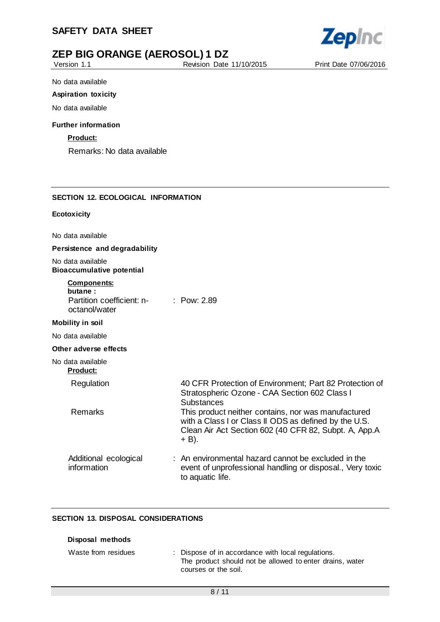

Version 1.1 Revision Date 11/10/2015 Print Date 07/06/2016

No data available

#### **Aspiration toxicity**

No data available

#### **Further information**

**Product:**

Remarks: No data available

#### **SECTION 12. ECOLOGICAL INFORMATION**

#### **Ecotoxicity**

No data available

#### **Persistence and degradability**

No data available **Bioaccumulative potential**

| <b>Components:</b> |  |  |
|--------------------|--|--|
| butane:            |  |  |

| Partition coefficient: n- | $:$ Pow: 2.89 |
|---------------------------|---------------|
|                           |               |

# octanol/water

## **Mobility in soil**

No data available

#### **Other adverse effects**

### No data available

| <b>Product:</b>                      |                                                                                                                                                                                   |
|--------------------------------------|-----------------------------------------------------------------------------------------------------------------------------------------------------------------------------------|
| Regulation                           | 40 CFR Protection of Environment; Part 82 Protection of<br>Stratospheric Ozone - CAA Section 602 Class I<br><b>Substances</b>                                                     |
| <b>Remarks</b>                       | This product neither contains, nor was manufactured<br>with a Class I or Class II ODS as defined by the U.S.<br>Clean Air Act Section 602 (40 CFR 82, Subpt. A, App.A<br>$+ B$ ). |
| Additional ecological<br>information | : An environmental hazard cannot be excluded in the<br>event of unprofessional handling or disposal., Very toxic                                                                  |

#### **SECTION 13. DISPOSAL CONSIDERATIONS**

| Disposal methods    |                                                                                                                                        |
|---------------------|----------------------------------------------------------------------------------------------------------------------------------------|
| Waste from residues | : Dispose of in accordance with local regulations.<br>The product should not be allowed to enter drains, water<br>courses or the soil. |

to aquatic life.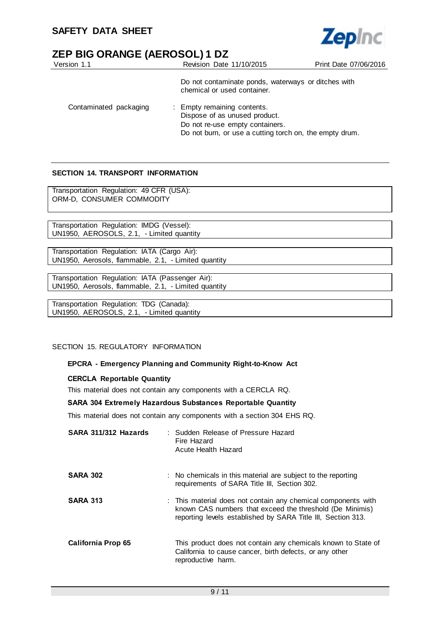

| Version 1.1            | Revision Date 11/10/2015                                                                                                                                   | Print Date 07/06/2016 |
|------------------------|------------------------------------------------------------------------------------------------------------------------------------------------------------|-----------------------|
|                        | Do not contaminate ponds, waterways or ditches with<br>chemical or used container.                                                                         |                       |
| Contaminated packaging | : Empty remaining contents.<br>Dispose of as unused product.<br>Do not re-use empty containers.<br>Do not burn, or use a cutting torch on, the empty drum. |                       |

#### **SECTION 14. TRANSPORT INFORMATION**

Transportation Regulation: 49 CFR (USA): ORM-D, CONSUMER COMMODITY

Transportation Regulation: IMDG (Vessel): UN1950, AEROSOLS, 2.1, - Limited quantity

Transportation Regulation: IATA (Cargo Air): UN1950, Aerosols, flammable, 2.1, - Limited quantity

Transportation Regulation: IATA (Passenger Air): UN1950, Aerosols, flammable, 2.1, - Limited quantity

Transportation Regulation: TDG (Canada): UN1950, AEROSOLS, 2.1, - Limited quantity

#### SECTION 15. REGULATORY INFORMATION

#### **EPCRA - Emergency Planning and Community Right-to-Know Act**

#### **CERCLA Reportable Quantity**

This material does not contain any components with a CERCLA RQ.

#### **SARA 304 Extremely Hazardous Substances Reportable Quantity**

This material does not contain any components with a section 304 EHS RQ.

| SARA 311/312 Hazards | : Sudden Release of Pressure Hazard<br>Fire Hazard<br>Acute Health Hazard                                                                                                                 |
|----------------------|-------------------------------------------------------------------------------------------------------------------------------------------------------------------------------------------|
| <b>SARA 302</b>      | : No chemicals in this material are subject to the reporting<br>requirements of SARA Title III, Section 302.                                                                              |
| <b>SARA 313</b>      | : This material does not contain any chemical components with<br>known CAS numbers that exceed the threshold (De Minimis)<br>reporting levels established by SARA Title III, Section 313. |
| California Prop 65   | This product does not contain any chemicals known to State of<br>California to cause cancer, birth defects, or any other<br>reproductive harm.                                            |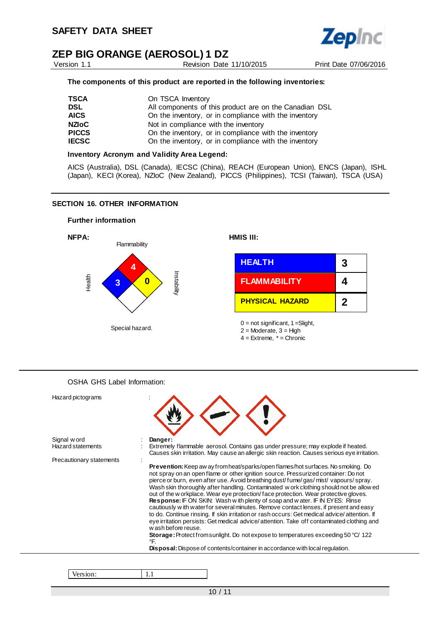

Version 1.1 Revision Date 11/10/2015 Print Date 07/06/2016

#### **The components of this product are reported in the following inventories:**

| All components of this product are on the Canadian DSL |
|--------------------------------------------------------|
| On the inventory, or in compliance with the inventory  |
|                                                        |
| On the inventory, or in compliance with the inventory  |
| On the inventory, or in compliance with the inventory  |
|                                                        |

#### **Inventory Acronym and Validity Area Legend:**

AICS (Australia), DSL (Canada), IECSC (China), REACH (European Union), ENCS (Japan), ISHL (Japan), KECI (Korea), NZIoC (New Zealand), PICCS (Philippines), TCSI (Taiwan), TSCA (USA)

#### **SECTION 16. OTHER INFORMATION**

#### **Further information**



#### OSHA GHS Label Information:

| Hazard pictograms        |                                                                                                                                                                                                                                                                                                                                                                                                                                                                                                                                                                                                                                                                                                                                                                                                                                                                                                                                                              |
|--------------------------|--------------------------------------------------------------------------------------------------------------------------------------------------------------------------------------------------------------------------------------------------------------------------------------------------------------------------------------------------------------------------------------------------------------------------------------------------------------------------------------------------------------------------------------------------------------------------------------------------------------------------------------------------------------------------------------------------------------------------------------------------------------------------------------------------------------------------------------------------------------------------------------------------------------------------------------------------------------|
| Signal w ord             | Danger:                                                                                                                                                                                                                                                                                                                                                                                                                                                                                                                                                                                                                                                                                                                                                                                                                                                                                                                                                      |
| <b>Hazard statements</b> | Extremely flammable aerosol. Contains gas under pressure; may explode if heated.<br>Causes skin irritation. May cause an allergic skin reaction. Causes serious eye irritation.                                                                                                                                                                                                                                                                                                                                                                                                                                                                                                                                                                                                                                                                                                                                                                              |
| Precautionary statements |                                                                                                                                                                                                                                                                                                                                                                                                                                                                                                                                                                                                                                                                                                                                                                                                                                                                                                                                                              |
|                          | <b>Prevention:</b> Keep aw ay from heat/sparks/open flames/hot surfaces. No smoking. Do<br>not spray on an open flame or other ignition source. Pressurized container: Do not<br>pierce or burn, even after use. Avoid breathing dust/fume/gas/mist/vapours/spray.<br>Wash skin thoroughly after handling. Contaminated w ork clothing should not be allow ed<br>out of the w orkplace. Wear eye protection/face protection. Wear protective gloves.<br><b>Response:</b> IF ON SKIN: Wash with plenty of soap and water. IF IN EYES: Rinse<br>cautiously w ith water for several minutes. Remove contact lenses, if present and easy<br>to do. Continue rinsing. If skin irritation or rash occurs: Get medical advice/attention. If<br>eye irritation persists: Get medical advice/attention. Take off contaminated clothing and<br>w ash before reuse.<br><b>Storage:</b> Protect from sunlight. Do not expose to temperatures exceeding 50 °C/ 122<br>°F. |
|                          | <b>Disposal:</b> Dispose of contents/container in accordance with local regulation.                                                                                                                                                                                                                                                                                                                                                                                                                                                                                                                                                                                                                                                                                                                                                                                                                                                                          |

Version: 1.1